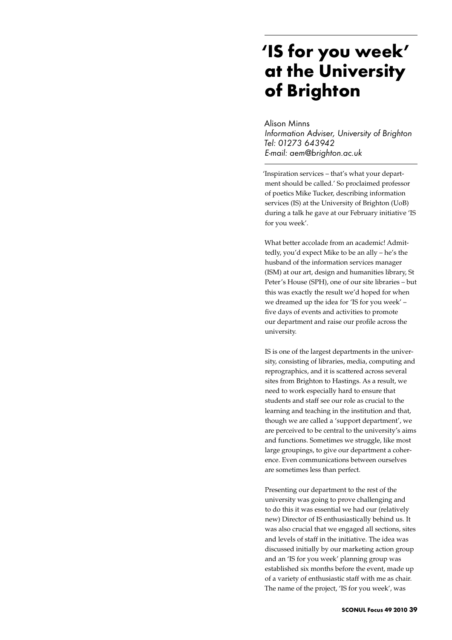## **'IS for you week' at the University of Brighton**

Alison Minns *Information Adviser, University of Brighton Tel: 01273 643942 E-mail: aem@brighton.ac.uk*

'Inspiration services – that's what your department should be called.' So proclaimed professor of poetics Mike Tucker, describing information services (IS) at the University of Brighton (UoB) during a talk he gave at our February initiative 'IS for you week'.

What better accolade from an academic! Admittedly, you'd expect Mike to be an ally – he's the husband of the information services manager (ISM) at our art, design and humanities library, St Peter's House (SPH), one of our site libraries – but this was exactly the result we'd hoped for when we dreamed up the idea for 'IS for you week' – five days of events and activities to promote our department and raise our profile across the university.

IS is one of the largest departments in the university, consisting of libraries, media, computing and reprographics, and it is scattered across several sites from Brighton to Hastings. As a result, we need to work especially hard to ensure that students and staff see our role as crucial to the learning and teaching in the institution and that, though we are called a 'support department', we are perceived to be central to the university's aims and functions. Sometimes we struggle, like most large groupings, to give our department a coherence. Even communications between ourselves are sometimes less than perfect.

Presenting our department to the rest of the university was going to prove challenging and to do this it was essential we had our (relatively new) Director of IS enthusiastically behind us. It was also crucial that we engaged all sections, sites and levels of staff in the initiative. The idea was discussed initially by our marketing action group and an 'IS for you week' planning group was established six months before the event, made up of a variety of enthusiastic staff with me as chair. The name of the project, 'IS for you week', was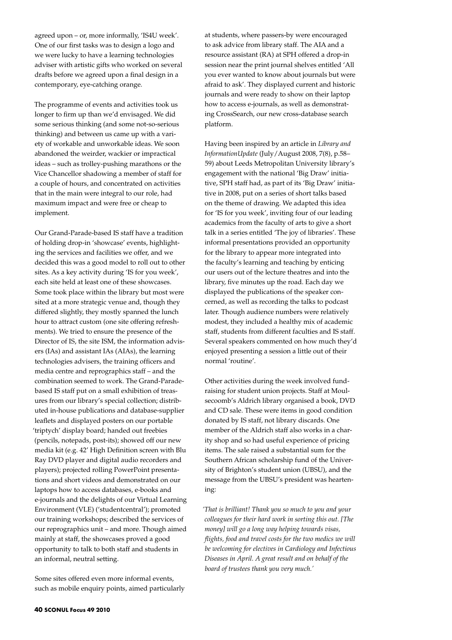agreed upon – or, more informally, 'IS4U week'. One of our first tasks was to design a logo and we were lucky to have a learning technologies adviser with artistic gifts who worked on several drafts before we agreed upon a final design in a contemporary, eye-catching orange.

The programme of events and activities took us longer to firm up than we'd envisaged. We did some serious thinking (and some not-so-serious thinking) and between us came up with a variety of workable and unworkable ideas. We soon abandoned the weirder, wackier or impractical ideas – such as trolley-pushing marathons or the Vice Chancellor shadowing a member of staff for a couple of hours, and concentrated on activities that in the main were integral to our role, had maximum impact and were free or cheap to implement.

Our Grand-Parade-based IS staff have a tradition of holding drop-in 'showcase' events, highlighting the services and facilities we offer, and we decided this was a good model to roll out to other sites. As a key activity during 'IS for you week', each site held at least one of these showcases. Some took place within the library but most were sited at a more strategic venue and, though they differed slightly, they mostly spanned the lunch hour to attract custom (one site offering refreshments). We tried to ensure the presence of the Director of IS, the site ISM, the information advisers (IAs) and assistant IAs (AIAs), the learning technologies advisers, the training officers and media centre and reprographics staff – and the combination seemed to work. The Grand-Paradebased IS staff put on a small exhibition of treasures from our library's special collection; distributed in-house publications and database-supplier leaflets and displayed posters on our portable 'triptych' display board; handed out freebies (pencils, notepads, post-its); showed off our new media kit (e.g. 42' High Definition screen with Blu Ray DVD player and digital audio recorders and players); projected rolling PowerPoint presentations and short videos and demonstrated on our laptops how to access databases, e-books and e-journals and the delights of our Virtual Learning Environment (VLE) ('studentcentral'); promoted our training workshops; described the services of our reprographics unit – and more. Though aimed mainly at staff, the showcases proved a good opportunity to talk to both staff and students in an informal, neutral setting.

Some sites offered even more informal events, such as mobile enquiry points, aimed particularly

at students, where passers-by were encouraged to ask advice from library staff. The AIA and a resource assistant (RA) at SPH offered a drop-in session near the print journal shelves entitled 'All you ever wanted to know about journals but were afraid to ask'. They displayed current and historic journals and were ready to show on their laptop how to access e-journals, as well as demonstrating CrossSearch, our new cross-database search platform.

Having been inspired by an article in *Library and InformationUpdate* (July/August 2008, 7(8), p.58– 59) about Leeds Metropolitan University library's engagement with the national 'Big Draw' initiative, SPH staff had, as part of its 'Big Draw' initiative in 2008, put on a series of short talks based on the theme of drawing. We adapted this idea for 'IS for you week', inviting four of our leading academics from the faculty of arts to give a short talk in a series entitled 'The joy of libraries'. These informal presentations provided an opportunity for the library to appear more integrated into the faculty's learning and teaching by enticing our users out of the lecture theatres and into the library, five minutes up the road. Each day we displayed the publications of the speaker concerned, as well as recording the talks to podcast later. Though audience numbers were relatively modest, they included a healthy mix of academic staff, students from different faculties and IS staff. Several speakers commented on how much they'd enjoyed presenting a session a little out of their normal 'routine'.

Other activities during the week involved fundraising for student union projects. Staff at Moulsecoomb's Aldrich library organised a book, DVD and CD sale. These were items in good condition donated by IS staff, not library discards. One member of the Aldrich staff also works in a charity shop and so had useful experience of pricing items. The sale raised a substantial sum for the Southern African scholarship fund of the University of Brighton's student union (UBSU), and the message from the UBSU's president was heartening:

*'That is brilliant! Thank you so much to you and your colleagues for their hard work in sorting this out. [The money] will go a long way helping towards visas, flights, food and travel costs for the two medics we will be welcoming for electives in Cardiology and Infectious Diseases in April. A great result and on behalf of the board of trustees thank you very much.'*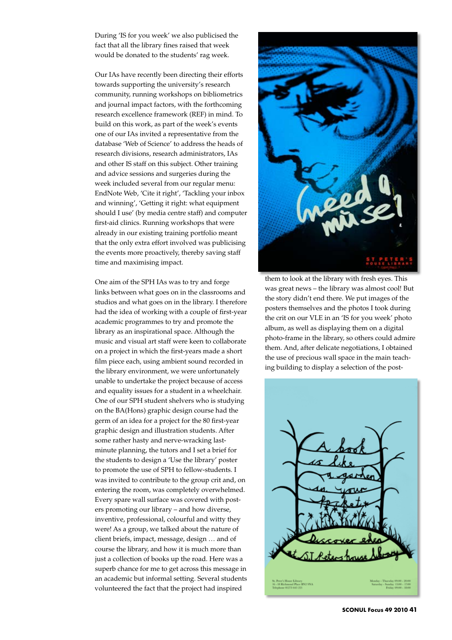During 'IS for you week' we also publicised the fact that all the library fines raised that week would be donated to the students' rag week.

Our IAs have recently been directing their efforts towards supporting the university's research community, running workshops on bibliometrics and journal impact factors, with the forthcoming research excellence framework (REF) in mind. To build on this work, as part of the week's events one of our IAs invited a representative from the database 'Web of Science' to address the heads of research divisions, research administrators, IAs and other IS staff on this subject. Other training and advice sessions and surgeries during the week included several from our regular menu: EndNote Web, 'Cite it right', 'Tackling your inbox and winning', 'Getting it right: what equipment should I use' (by media centre staff) and computer first-aid clinics. Running workshops that were already in our existing training portfolio meant that the only extra effort involved was publicising the events more proactively, thereby saving staff time and maximising impact.

One aim of the SPH IAs was to try and forge links between what goes on in the classrooms and studios and what goes on in the library. I therefore had the idea of working with a couple of first-year academic programmes to try and promote the library as an inspirational space. Although the music and visual art staff were keen to collaborate on a project in which the first-years made a short film piece each, using ambient sound recorded in the library environment, we were unfortunately unable to undertake the project because of access and equality issues for a student in a wheelchair. One of our SPH student shelvers who is studying on the BA(Hons) graphic design course had the germ of an idea for a project for the 80 first-year graphic design and illustration students. After some rather hasty and nerve-wracking lastminute planning, the tutors and I set a brief for the students to design a 'Use the library' poster to promote the use of SPH to fellow-students. I was invited to contribute to the group crit and, on entering the room, was completely overwhelmed. Every spare wall surface was covered with posters promoting our library – and how diverse, inventive, professional, colourful and witty they were! As a group, we talked about the nature of client briefs, impact, message, design … and of course the library, and how it is much more than just a collection of books up the road. Here was a superb chance for me to get across this message in an academic but informal setting. Several students volunteered the fact that the project had inspired



them to look at the library with fresh eyes. This was great news – the library was almost cool! But the story didn't end there. We put images of the posters themselves and the photos I took during the crit on our VLE in an 'IS for you week' photo album, as well as displaying them on a digital photo-frame in the library, so others could admire them. And, after delicate negotiations, I obtained the use of precious wall space in the main teaching building to display a selection of the post-

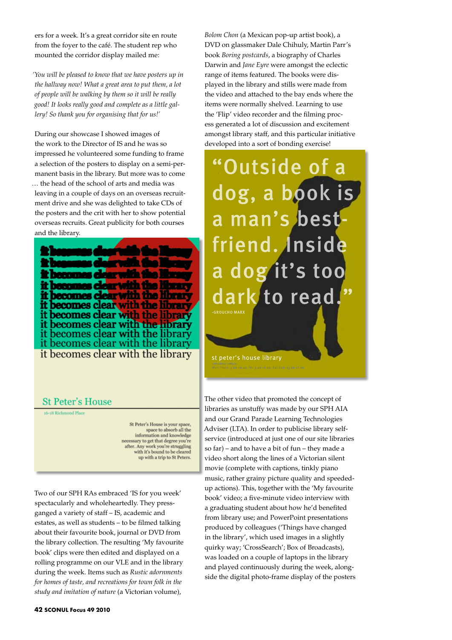ers for a week. It's a great corridor site en route from the foyer to the café. The student rep who mounted the corridor display mailed me:

*'You will be pleased to know that we have posters up in the hallway now! What a great area to put them, a lot of people will be walking by them so it will be really good! It looks really good and complete as a little gallery! So thank you for organising that for us!'* 

During our showcase I showed images of the work to the Director of IS and he was so impressed he volunteered some funding to frame a selection of the posters to display on a semi-permanent basis in the library. But more was to come … the head of the school of arts and media was leaving in a couple of days on an overseas recruitment drive and she was delighted to take CDs of the posters and the crit with her to show potential overseas recruits. Great publicity for both courses and the library.

m W it becomes clear with the librar it becomes clear with the library it becomes clear with the library it becomes clear with the library it becomes clear with the library it becomes clear with the library

## **St Peter's House**

16-18 Richmond Place

St Peter's House is your space, space to absorb all the<br>information and knowledge sary to get that degree you're after. Any work you're struggling<br>with it's bound to be cleared up with a trip to St Peters.

Two of our SPH RAs embraced 'IS for you week' spectacularly and wholeheartedly. They pressganged a variety of staff – IS, academic and estates, as well as students – to be filmed talking about their favourite book, journal or DVD from the library collection. The resulting 'My favourite book' clips were then edited and displayed on a rolling programme on our VLE and in the library during the week. Items such as *Rustic adornments for homes of taste, and recreations for town folk in the study and imitation of nature* (a Victorian volume),

*Bolom Chon* (a Mexican pop-up artist book), a DVD on glassmaker Dale Chihuly, Martin Parr's book *Boring postcards*, a biography of Charles Darwin and *Jane Eyre* were amongst the eclectic range of items featured. The books were displayed in the library and stills were made from the video and attached to the bay ends where the items were normally shelved. Learning to use the 'Flip' video recorder and the filming process generated a lot of discussion and excitement amongst library staff, and this particular initiative developed into a sort of bonding exercise!

"Outside of a dog, a book is a man's bestfriend. Inside a dog it's too dark to read " -GROUCHO MARX

st peter's house library

The other video that promoted the concept of libraries as unstuffy was made by our SPH AIA and our Grand Parade Learning Technologies Adviser (LTA). In order to publicise library selfservice (introduced at just one of our site libraries so far) – and to have a bit of fun – they made a video short along the lines of a Victorian silent movie (complete with captions, tinkly piano music, rather grainy picture quality and speededup actions). This, together with the 'My favourite book' video; a five-minute video interview with a graduating student about how he'd benefited from library use; and PowerPoint presentations produced by colleagues ('Things have changed in the library', which used images in a slightly quirky way; 'CrossSearch'; Box of Broadcasts), was loaded on a couple of laptops in the library and played continuously during the week, alongside the digital photo-frame display of the posters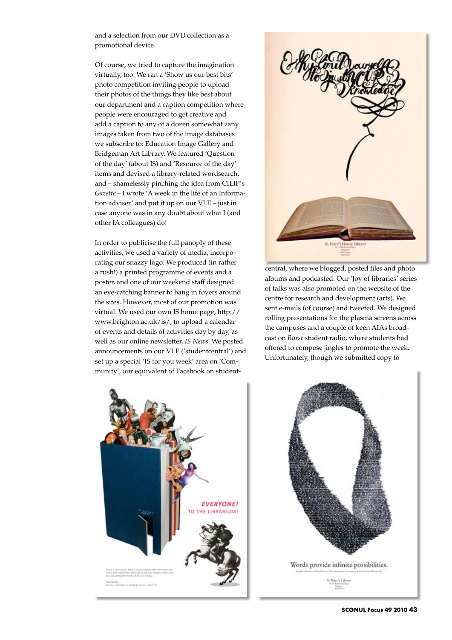and a selection from our DVD collection as a promotional device.

Of course, we tried to capture the imagination virtually, too. We ran a 'Show us our best bits' photo competition inviting people to upload their photos of the things they like best about our department and a caption competition where people were encouraged to get creative and add a caption to any of a dozen somewhat zany images taken from two of the image databases we subscribe to: Education Image Gallery and Bridgeman Art Library. We featured 'Question of the day' (about IS) and 'Resource of the day' items and devised a library-related wordsearch, and – shamelessly pinching the idea from CILIP's *Gazette* – I wrote 'A week in the life of an Information adviser' and put it up on our VLE – just in case anyone was in any doubt about what I (and other IA colleagues) do!

In order to publicise the full panoply of these activities, we used a variety of media, incorporating our snazzy logo. We produced (in rather a rush!) a printed programme of events and a poster, and one of our weekend staff designed an eye-catching banner to hang in foyers around the sites. However, most of our promotion was virtual. We used our own IS home page, http:// www.brighton.ac.uk/is/, to upload a calendar of events and details of activities day by day, as well as our online newsletter, *IS News*. We posted announcements on our VLE ('studentcentral') and set up a special 'IS for you week' area on 'Community', our equivalent of Facebook on student-



central, where we blogged, posted files and photo albums and podcasted. Our 'Joy of libraries' series of talks was also promoted on the website of the centre for research and development (arts). We sent e-mails (of course) and tweeted. We designed rolling presentations for the plasma screens across the campuses and a couple of keen AIAs broadcast on *Burst* student radio, where students had offered to compose jingles to promote the week. Unfortunately, though we submitted copy to